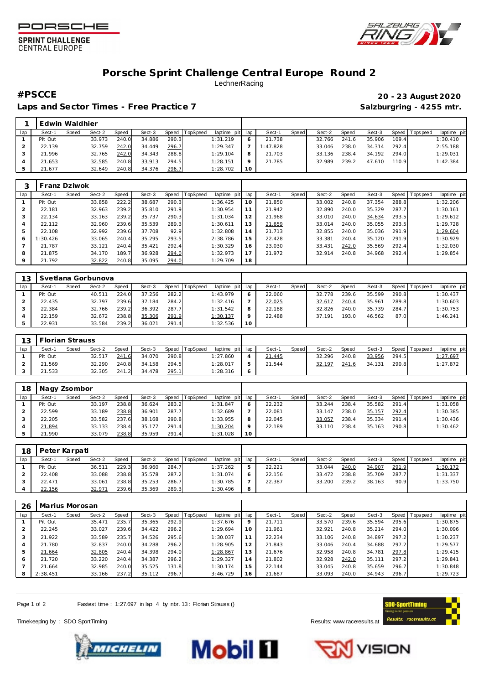





## **Porsche Sprint Challenge Central Europe Round 2** LechnerRacing

Laps and Sector Times - Free Practice 7 **Salzburgring - 4255 mtr.** And Salzburgring - 4255 mtr.

## **#PSCCE 20 - 23 August 2020**

|     | Edwin Waldhier |       |        |       |        |       |          |                 |    |          |       |        |       |        |       |                 |             |  |
|-----|----------------|-------|--------|-------|--------|-------|----------|-----------------|----|----------|-------|--------|-------|--------|-------|-----------------|-------------|--|
| lap | Sect-1         | Speed | Sect-2 | Speed | Sect-3 | Speed | TopSpeed | laptime pit lap |    | Sect-1   | Speed | Sect-2 | Speed | Sect-3 |       | Speed Tops peed | laptime pit |  |
|     | Pit Out        |       | 33.973 | 240.0 | 34.886 | 290.3 |          | 1:31.219        |    | 21.738   |       | 32.766 | 241.6 | 35.906 | 109.4 |                 | 1:30.410    |  |
|     | 22.139         |       | 32.759 | 242.0 | 34.449 | 296.7 |          | 1:29.347        |    | 1:47.828 |       | 33.046 | 238.0 | 34.314 | 292.4 |                 | 2:55.188    |  |
|     | 21.996         |       | 32.765 | 242.0 | 34.343 | 288.8 |          | 1:29.104        |    | 21.703   |       | 33.136 | 238.4 | 34.192 | 294.0 |                 | 1:29.031    |  |
|     | 21.653         |       | 32.585 | 240.8 | 33.913 | 294.5 |          | 1:28.151        |    | 21.785   |       | 32.989 | 239.2 | 47.610 | 110.9 |                 | 1:42.384    |  |
|     | 21.677         |       | 32.649 | 240.8 | 34.376 | 296.7 |          | 1:28.702        | 10 |          |       |        |       |        |       |                 |             |  |

|     | Franz Dziwok |       |        |       |        |       |         |             |     |        |       |        |       |        |       |                |             |
|-----|--------------|-------|--------|-------|--------|-------|---------|-------------|-----|--------|-------|--------|-------|--------|-------|----------------|-------------|
| lap | Sect-1       | Speed | Sect-2 | Speed | Sect-3 | Speed | opSpeed | laptime pit | lap | Sect-1 | Speed | Sect-2 | Speed | Sect-3 |       | Speed Topspeed | laptime pit |
|     | Pit Out      |       | 33.858 | 222.2 | 38.687 | 290.3 |         | 1:36.425    | 10  | 21.850 |       | 33.002 | 240.8 | 37.354 | 288.8 |                | 1:32.206    |
|     | 22.181       |       | 32.963 | 239.2 | 35.810 | 291.9 |         | 1:30.954    | 11  | 21.942 |       | 32.890 | 240.0 | 35.329 | 287.7 |                | 1:30.161    |
|     | 22.134       |       | 33.163 | 239.2 | 35.737 | 290.3 |         | 1:31.034    | 12  | 21.968 |       | 33.010 | 240.0 | 34.634 | 293.5 |                | 1:29.612    |
| 4   | 22.112       |       | 32.960 | 239.6 | 35.539 | 289.3 |         | 1:30.611    | 13  | 21.659 |       | 33.014 | 240.0 | 35.055 | 293.5 |                | 1:29.728    |
| 5   | 22.108       |       | 32.992 | 239.6 | 37.708 | 92.9  |         | 1:32.808    | 14  | 21.713 |       | 32.855 | 240.0 | 35.036 | 291.9 |                | 1:29.604    |
| 6   | :30.426      |       | 33.065 | 240.4 | 35.295 | 293.5 |         | 2:38.786    | 15  | 22.428 |       | 33.381 | 240.4 | 35.120 | 291.9 |                | 1:30.929    |
|     | 21.787       |       | 33.121 | 240.4 | 35.421 | 292.4 |         | 1:30.329    | 16  | 23.030 |       | 33.431 | 242.0 | 35.569 | 292.4 |                | 1:32.030    |
| 8   | 21.875       |       | 34.170 | 189.7 | 36.928 | 294.0 |         | 1:32.973    | 17  | 21.972 |       | 32.914 | 240.8 | 34.968 | 292.4 |                | 1:29.854    |
| 9   | 21.792       |       | 32.822 | 240.8 | 35.095 | 294.0 |         | 1:29.709    | 18  |        |       |        |       |        |       |                |             |

| 13  |         |       | Svetlana Gorbunova |       |        |       |                |             |         |        |       |        |        |        |       |                   |             |
|-----|---------|-------|--------------------|-------|--------|-------|----------------|-------------|---------|--------|-------|--------|--------|--------|-------|-------------------|-------------|
| lap | Sect-1  | Speed | Sect-2             | Speed | Sect-3 |       | Speed TopSpeed | laptime pit | lap     | Sect-1 | Speed | Sect-2 | Speed  | Sect-3 |       | Speed   Tops peed | laptime pit |
|     | Pit Out |       | 40.511             | 224.0 | 37.256 | 282.2 |                | 1:43.979    | 6       | 22.060 |       | 32.778 | 239.61 | 35.599 | 290.8 |                   | 1:30.437    |
|     | 22.435  |       | 32.797             | 239.6 | 37.184 | 284.2 |                | 1:32.416    |         | 22.025 |       | 32.61  | 240.4  | 35.961 | 289.8 |                   | 1:30.603    |
|     | 22.384  |       | 32.766             | 239.2 | 36.392 | 287.7 |                | 1:31.542    | 8       | 22.188 |       | 32.826 | 240.0  | 35.739 | 284.7 |                   | 1:30.753    |
|     | 22.159  |       | 32.672             | 238.8 | 35.306 | 291.9 |                | 1:30.137    | $\circ$ | 22.488 |       | 37.191 | 193.0  | 46.562 | 87.0  |                   | 1:46.241    |
|     | 22.931  |       | 33.584             | 239.2 | 36.021 | 291.4 |                | 1:32.536    | 10      |        |       |        |        |        |       |                   |             |

| 13 <sup>1</sup> | Florian Strauss |       |        |       |        |       |                |                 |         |        |       |        |         |        |       |                   |             |
|-----------------|-----------------|-------|--------|-------|--------|-------|----------------|-----------------|---------|--------|-------|--------|---------|--------|-------|-------------------|-------------|
| lap             | Sect-1          | Speed | Sect-2 | Speed | Sect-3 |       | Speed TopSpeed | laptime pit lap |         | Sect-1 | Speed | Sect-2 | Speed I | Sect-3 |       | Speed   Tops peed | laptime pit |
|                 | Pit Out         |       | 32.517 | 241.6 | 34.070 | 290.8 |                | 1:27.860        |         | 21.445 |       | 32.296 | 240.8   | 33.956 | 294.5 |                   | 1:27.697    |
|                 | 21.569          |       | 32.290 | 240.8 | 34.158 | 294.5 |                | 1:28.017        |         | 21.544 |       | 32.197 | 241.6   | 34.131 | 290.8 |                   | 1:27.872    |
|                 | 21.533          |       | 32.305 | 241.2 | 34.478 | 295.1 |                | 1:28.316        | $\circ$ |        |       |        |         |        |       |                   |             |

| 18  | Nagy Zsombor |              |        |       |        |       |                 |                 |         |        |       |        |       |        |            |            |             |
|-----|--------------|--------------|--------|-------|--------|-------|-----------------|-----------------|---------|--------|-------|--------|-------|--------|------------|------------|-------------|
| lap | Sect-1       | <b>Speed</b> | Sect-2 | Speed | Sect-3 | Speed | <b>TopSpeed</b> | laptime pit     | lap     | Sect-1 | Speed | Sect-2 | Speed | Sect-3 | Speed   To | Tops pee d | laptime pit |
|     | Pit Out      |              | 33.197 | 238.8 | 36.624 | 283.2 |                 | 1:31.847        | $\circ$ | 22.232 |       | 33.244 | 238.4 | 35.582 | 291.4      |            | 1:31.058    |
|     | 22.599       |              | 33.189 | 238.8 | 36.901 | 287.7 |                 | 1:32.689        |         | 22.081 |       | 33.147 | 238.0 | 35.157 | 292.4      |            | 1:30.385    |
|     | 22.205       |              | 33.582 | 237.6 | 38.168 | 290.8 |                 | 1:33.955        |         | 22.045 |       | 33.057 | 238.4 | 35.334 | 291.4      |            | 1:30.436    |
|     | 21.894       |              | 33.133 | 238.4 | 35.177 | 291.4 |                 | <u>1:30.204</u> |         | 22.189 |       | 33.110 | 238.4 | 35.163 | 290.8      |            | 1:30.462    |
|     | 21.990       |              | 33.079 | 238.8 | 35.959 | 291.4 |                 | 1:31.028        | 10      |        |       |        |       |        |            |            |             |

| 18  | Peter Karpati |       |        |       |        |       |          |                 |        |       |        |       |        |       |                 |             |
|-----|---------------|-------|--------|-------|--------|-------|----------|-----------------|--------|-------|--------|-------|--------|-------|-----------------|-------------|
| lap | Sect-1        | Speed | Sect-2 | Speed | Sect-3 | Speed | TopSpeed | laptime pit lap | Sect-1 | Speed | Sect-2 | Speed | Sect-3 |       | Speed Tops peed | laptime pit |
|     | Pit Out       |       | 36.511 | 229.3 | 36.960 | 284.7 |          | 1:37.262        | 22.221 |       | 33.044 | 240.0 | 34.907 | 291.9 |                 | 1:30.172    |
|     | 22.408        |       | 33.088 | 238.8 | 35.578 | 287.2 |          | 1:31.074        | 22.156 |       | 33.472 | 238.8 | 35.709 | 287.7 |                 | 1:31.337    |
|     | 22.471        |       | 33.061 | 238.8 | 35.253 | 286.7 |          | 1:30.785        | 22.387 |       | 33.200 | 239.2 | 38.163 | 90.9  |                 | 1:33.750    |
|     | 22.156        |       | 32.971 | 239.6 | 35.369 | 289.3 |          | 1:30.496        |        |       |        |       |        |       |                 |             |

| 26  | Marius Morosan |              |        |       |        |       |                 |             |          |        |       |        |       |        |         |           |             |
|-----|----------------|--------------|--------|-------|--------|-------|-----------------|-------------|----------|--------|-------|--------|-------|--------|---------|-----------|-------------|
| lap | Sect-1         | <b>Speed</b> | Sect-2 | Speed | Sect-3 | Speed | <b>TopSpeed</b> | laptime pit | lap      | Sect-1 | Speed | Sect-2 | Speed | Sect-3 | Speed I | Tops peed | laptime pit |
|     | Pit Out        |              | 35.471 | 235.7 | 35.365 | 292.9 |                 | 1:37.676    | $\Omega$ | 21.711 |       | 33.570 | 239.6 | 35.594 | 295.6   |           | 1:30.875    |
|     | 22.245         |              | 33.027 | 239.6 | 34.422 | 296.2 |                 | 1:29.694    | 10       | 21.961 |       | 32.921 | 240.8 | 35.214 | 294.0   |           | 1:30.096    |
| 3   | 21.922         |              | 33.589 | 235.7 | 34.526 | 295.6 |                 | 1:30.037    |          | 22.234 |       | 33.106 | 240.8 | 34.897 | 297.2   |           | 1:30.237    |
| 4   | 21.780         |              | 32.837 | 240.0 | 34.288 | 296.2 |                 | 1:28.905    | 12       | 21.843 |       | 33.046 | 240.4 | 34.688 | 297.2   |           | 1:29.577    |
| 5   | 21.664         |              | 32.805 | 240.4 | 34.398 | 294.0 |                 | 1:28.867    | 13       | 21.676 |       | 32.958 | 240.8 | 34.781 | 297.8   |           | 1:29.415    |
| 6   | 21.720         |              | 33.220 | 240.4 | 34.387 | 296.2 |                 | 1:29.327    | 14       | 21.802 |       | 32.928 | 242.0 | 35.111 | 297.2   |           | 1:29.841    |
|     | 21.664         |              | 32.985 | 240.0 | 35.525 | 131.8 |                 | 1:30.174    | 15       | 22.144 |       | 33.045 | 240.8 | 35.659 | 296.7   |           | 1:30.848    |
| 8   | 2:38.451       |              | 33.166 | 237.2 | 35.112 | 296.7 |                 | 3:46.729    | 16       | 21.687 |       | 33.093 | 240.0 | 34.943 | 296.7   |           | 1:29.723    |

Page 1 of 2 Fastest time : 1:27.697 in lap 4 by nbr. 13 : Florian Strauss ()

Timekeeping by : SDO SportTiming **Results: WWW.raceresults.at**